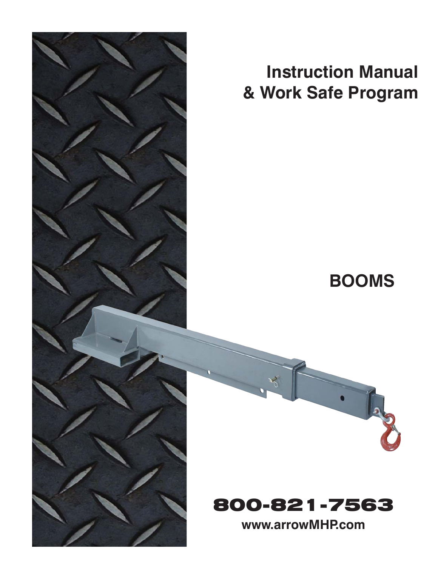

# **Instruction Manual & Work Safe Program**

## **BOOMS**



800-821-7563

**www.arrowMHP.com**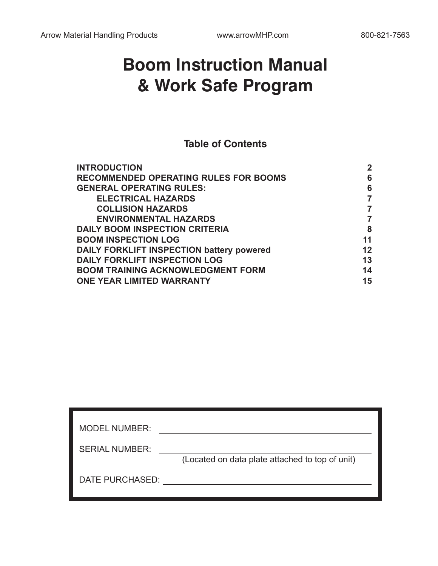## **Boom Instruction Manual & Work Safe Program**

**Table of Contents**

| 6  |
|----|
|    |
| 6  |
|    |
|    |
|    |
| 8  |
| 11 |
| 12 |
| 13 |
| 14 |
| 15 |
|    |

| <b>MODEL NUMBER:</b>  |                                                 |
|-----------------------|-------------------------------------------------|
| <b>SERIAL NUMBER:</b> | (Located on data plate attached to top of unit) |
| DATE PURCHASED:       |                                                 |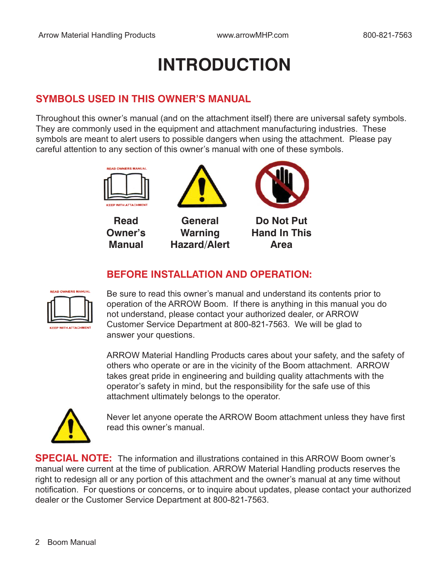# **INTRODUCTION**

### **SYMBOLS USED IN THIS OWNER'S MANUAL**

Throughout this owner's manual (and on the attachment itself) there are universal safety symbols. They are commonly used in the equipment and attachment manufacturing industries. These symbols are meant to alert users to possible dangers when using the attachment. Please pay careful attention to any section of this owner's manual with one of these symbols.







**General Warning Hazard/Alert**



**Do Not Put Hand In This Area**

### **BEFORE INSTALLATION AND OPERATION:**



Be sure to read this owner's manual and understand its contents prior to operation of the ARROW Boom. If there is anything in this manual you do not understand, please contact your authorized dealer, or ARROW Customer Service Department at 800-821-7563. We will be glad to answer your questions.

ARROW Material Handling Products cares about your safety, and the safety of others who operate or are in the vicinity of the Boom attachment. ARROW takes great pride in engineering and building quality attachments with the operator's safety in mind, but the responsibility for the safe use of this attachment ultimately belongs to the operator.



Never let anyone operate the ARROW Boom attachment unless they have first read this owner's manual.

**SPECIAL NOTE:** The information and illustrations contained in this ARROW Boom owner's manual were current at the time of publication. ARROW Material Handling products reserves the right to redesign all or any portion of this attachment and the owner's manual at any time without notification. For questions or concerns, or to inquire about updates, please contact your authorized dealer or the Customer Service Department at 800-821-7563.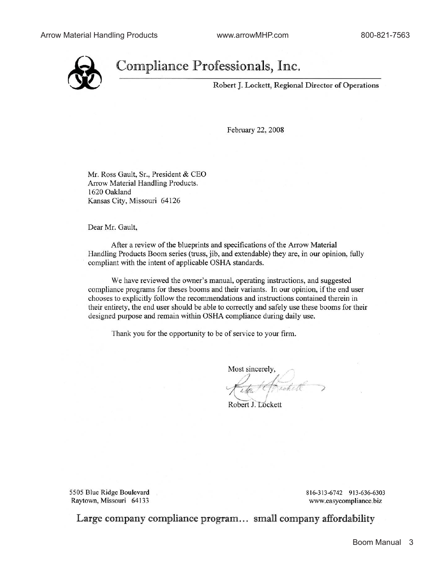

## Compliance Professionals, Inc.

Robert J. Lockett, Regional Director of Operations

February 22, 2008

Mr. Ross Gault, Sr., President & CEO Arrow Material Handling Products. 1620 Oakland Kansas City, Missouri 64126

Dear Mr. Gault,

After a review of the blueprints and specifications of the Arrow Material Handling Products Boom series (truss, jib, and extendable) they are, in our opinion, fully compliant with the intent of applicable OSHA standards.

We have reviewed the owner's manual, operating instructions, and suggested compliance programs for theses booms and their variants. In our opinion, if the end user chooses to explicitly follow the recommendations and instructions contained therein in their entirety, the end user should be able to correctly and safely use these booms for their designed purpose and remain within OSHA compliance during daily use.

Thank you for the opportunity to be of service to your firm.

Most sincerely,

Robert J. Lockett

5505 Blue Ridge Boulevard Raytown, Missouri 64133

816-313-6742 913-636-6303 www.easycompliance.biz

Large company compliance program... small company affordability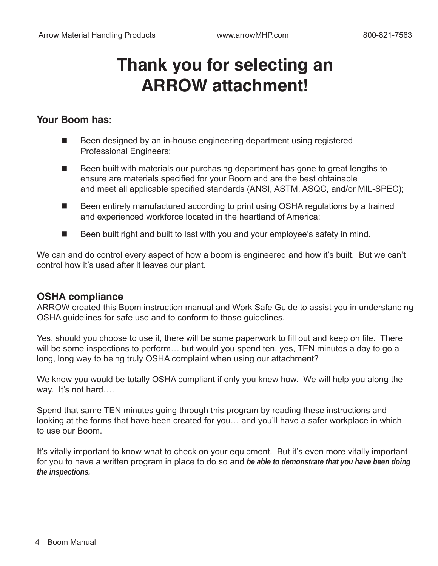## **Thank you for selecting an ARROW attachment!**

#### **Your Boom has:**

- Been designed by an in-house engineering department using registered Professional Engineers;
- Been built with materials our purchasing department has gone to great lengths to ensure are materials specified for your Boom and are the best obtainable and meet all applicable specified standards (ANSI, ASTM, ASQC, and/or MIL-SPEC);
- Been entirely manufactured according to print using OSHA regulations by a trained and experienced workforce located in the heartland of America;
- Been built right and built to last with you and your employee's safety in mind.

We can and do control every aspect of how a boom is engineered and how it's built. But we can't control how it's used after it leaves our plant.

#### **OSHA compliance**

ARROW created this Boom instruction manual and Work Safe Guide to assist you in understanding OSHA guidelines for safe use and to conform to those guidelines.

Yes, should you choose to use it, there will be some paperwork to fill out and keep on file. There will be some inspections to perform… but would you spend ten, yes, TEN minutes a day to go a long, long way to being truly OSHA complaint when using our attachment?

We know you would be totally OSHA compliant if only you knew how. We will help you along the way. It's not hard….

Spend that same TEN minutes going through this program by reading these instructions and looking at the forms that have been created for you… and you'll have a safer workplace in which to use our Boom.

It's vitally important to know what to check on your equipment. But it's even more vitally important for you to have a written program in place to do so and *be able to demonstrate that you have been doing the inspections.*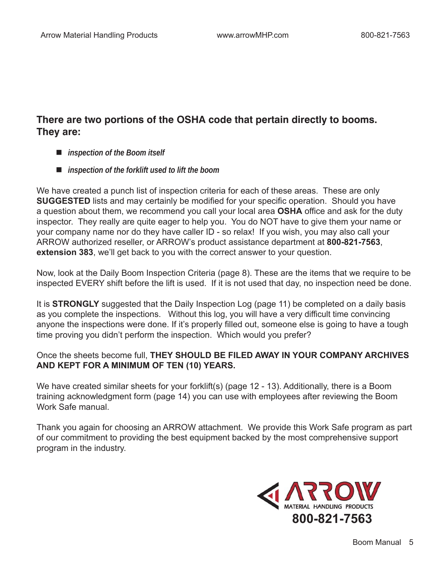### **There are two portions of the OSHA code that pertain directly to booms. They are:**

- *inspection of the Boom itself*
- *inspection of the forklift used to lift the boom*

We have created a punch list of inspection criteria for each of these areas. These are only **SUGGESTED** lists and may certainly be modified for your specific operation. Should you have a question about them, we recommend you call your local area **OSHA** office and ask for the duty inspector. They really are quite eager to help you. You do NOT have to give them your name or your company name nor do they have caller ID - so relax! If you wish, you may also call your ARROW authorized reseller, or ARROW's product assistance department at **800-821-7563**, **extension 383**, we'll get back to you with the correct answer to your question.

Now, look at the Daily Boom Inspection Criteria (page 8). These are the items that we require to be inspected EVERY shift before the lift is used. If it is not used that day, no inspection need be done.

It is **STRONGLY** suggested that the Daily Inspection Log (page 11) be completed on a daily basis as you complete the inspections. Without this log, you will have a very difficult time convincing anyone the inspections were done. If it's properly filled out, someone else is going to have a tough time proving you didn't perform the inspection. Which would you prefer?

#### Once the sheets become full, **THEY SHOULD BE FILED AWAY IN YOUR COMPANY ARCHIVES AND KEPT FOR A MINIMUM OF TEN (10) YEARS.**

We have created similar sheets for your forklift(s) (page 12 - 13). Additionally, there is a Boom training acknowledgment form (page 14) you can use with employees after reviewing the Boom Work Safe manual.

Thank you again for choosing an ARROW attachment. We provide this Work Safe program as part of our commitment to providing the best equipment backed by the most comprehensive support program in the industry.

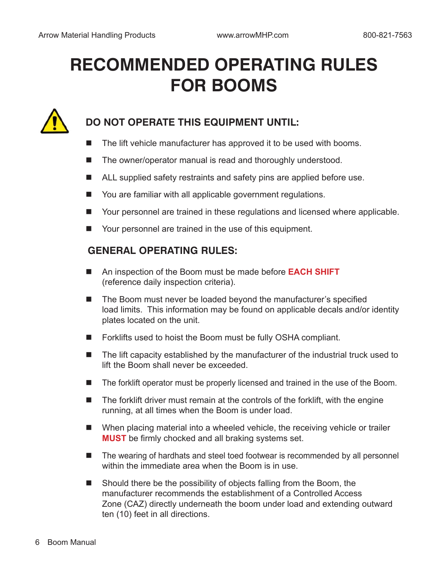# **RECOMMENDED OPERATING RULES FOR BOOMS**



## **DO NOT OPERATE THIS EQUIPMENT UNTIL:**

- $\blacksquare$  The lift vehicle manufacturer has approved it to be used with booms.
- The owner/operator manual is read and thoroughly understood.
- ALL supplied safety restraints and safety pins are applied before use.
- You are familiar with all applicable government regulations.
- Your personnel are trained in these regulations and licensed where applicable.
- Your personnel are trained in the use of this equipment.

#### **GENERAL OPERATING RULES:**

- An inspection of the Boom must be made before **EACH SHIFT** (reference daily inspection criteria).
- The Boom must never be loaded beyond the manufacturer's specified load limits. This information may be found on applicable decals and/or identity plates located on the unit.
- Forklifts used to hoist the Boom must be fully OSHA compliant.
- $\blacksquare$  The lift capacity established by the manufacturer of the industrial truck used to lift the Boom shall never be exceeded.
- $\blacksquare$  The forklift operator must be properly licensed and trained in the use of the Boom.
- The forklift driver must remain at the controls of the forklift, with the engine running, at all times when the Boom is under load.
- When placing material into a wheeled vehicle, the receiving vehicle or trailer **MUST** be firmly chocked and all braking systems set.
- The wearing of hardhats and steel toed footwear is recommended by all personnel within the immediate area when the Boom is in use.
- Should there be the possibility of objects falling from the Boom, the manufacturer recommends the establishment of a Controlled Access Zone (CAZ) directly underneath the boom under load and extending outward ten (10) feet in all directions.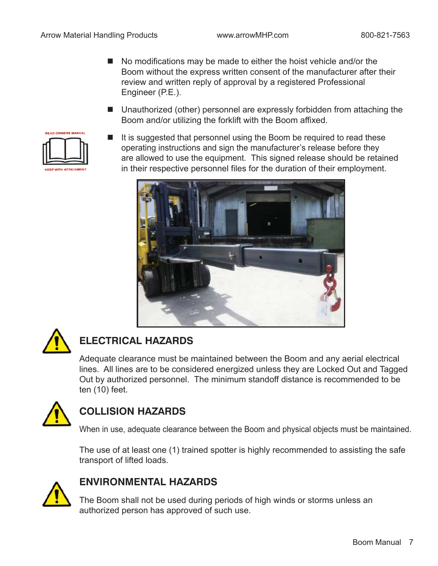- No modifications may be made to either the hoist vehicle and/or the Boom without the express written consent of the manufacturer after their review and written reply of approval by a registered Professional Engineer (P.E.).
- Unauthorized (other) personnel are expressly forbidden from attaching the Boom and/or utilizing the forklift with the Boom affixed.



It is suggested that personnel using the Boom be required to read these operating instructions and sign the manufacturer's release before they are allowed to use the equipment. This signed release should be retained in their respective personnel files for the duration of their employment.





## **ELECTRICAL HAZARDS**

Adequate clearance must be maintained between the Boom and any aerial electrical lines. All lines are to be considered energized unless they are Locked Out and Tagged Out by authorized personnel. The minimum standoff distance is recommended to be ten (10) feet.



## **COLLISION HAZARDS**

When in use, adequate clearance between the Boom and physical objects must be maintained.

The use of at least one (1) trained spotter is highly recommended to assisting the safe transport of lifted loads.



### **ENVIRONMENTAL HAZARDS**

The Boom shall not be used during periods of high winds or storms unless an authorized person has approved of such use.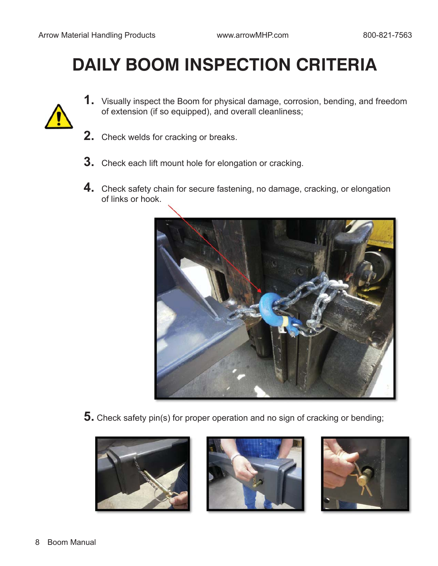# **DAILY BOOM INSPECTION CRITERIA**

- **1.** Visually inspect the Boom for physical damage, corrosion, bending, and freedom of extension (if so equipped), and overall cleanliness;
- **2.** Check welds for cracking or breaks.
- **3.** Check each lift mount hole for elongation or cracking.
- **4.** Check safety chain for secure fastening, no damage, cracking, or elongation of links or hook.



**5.** Check safety pin(s) for proper operation and no sign of cracking or bending;





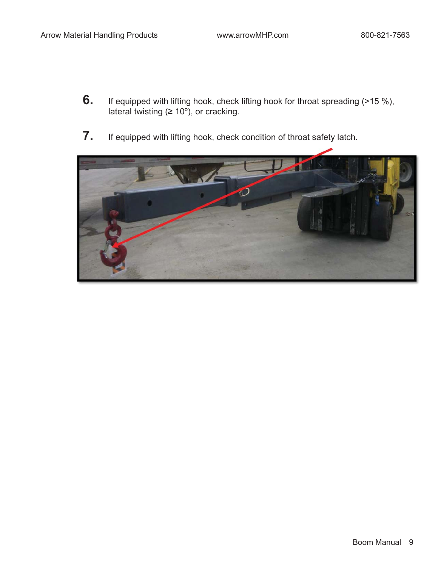- **6.** If equipped with lifting hook, check lifting hook for throat spreading (>15 %), lateral twisting ( $\geq 10^{\circ}$ ), or cracking.
- **7.** If equipped with lifting hook, check condition of throat safety latch.

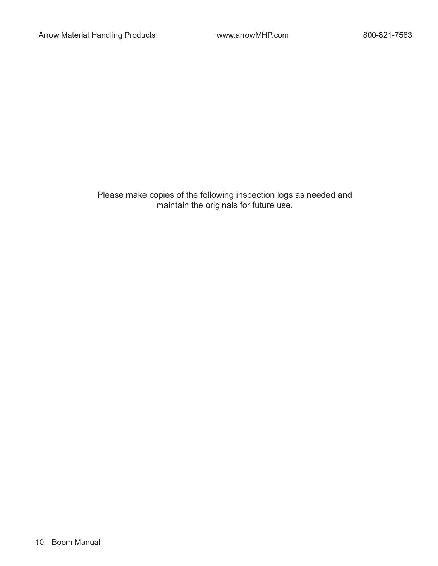Please make copies of the following inspection logs as needed and maintain the originals for future use.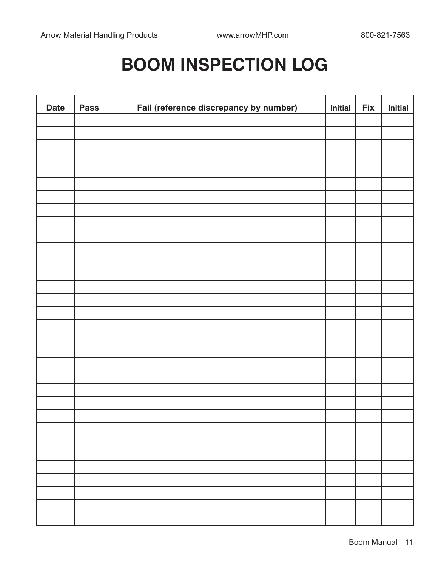## **BOOM INSPECTION LOG**

| <b>Date</b> | <b>Pass</b> | Fail (reference discrepancy by number) | Initial | <b>Fix</b> | Initial |
|-------------|-------------|----------------------------------------|---------|------------|---------|
|             |             |                                        |         |            |         |
|             |             |                                        |         |            |         |
|             |             |                                        |         |            |         |
|             |             |                                        |         |            |         |
|             |             |                                        |         |            |         |
|             |             |                                        |         |            |         |
|             |             |                                        |         |            |         |
|             |             |                                        |         |            |         |
|             |             |                                        |         |            |         |
|             |             |                                        |         |            |         |
|             |             |                                        |         |            |         |
|             |             |                                        |         |            |         |
|             |             |                                        |         |            |         |
|             |             |                                        |         |            |         |
|             |             |                                        |         |            |         |
|             |             |                                        |         |            |         |
|             |             |                                        |         |            |         |
|             |             |                                        |         |            |         |
|             |             |                                        |         |            |         |
|             |             |                                        |         |            |         |
|             |             |                                        |         |            |         |
|             |             |                                        |         |            |         |
|             |             |                                        |         |            |         |
|             |             |                                        |         |            |         |
|             |             |                                        |         |            |         |
|             |             |                                        |         |            |         |
|             |             |                                        |         |            |         |
|             |             |                                        |         |            |         |
|             |             |                                        |         |            |         |
|             |             |                                        |         |            |         |
|             |             |                                        |         |            |         |
|             |             |                                        |         |            |         |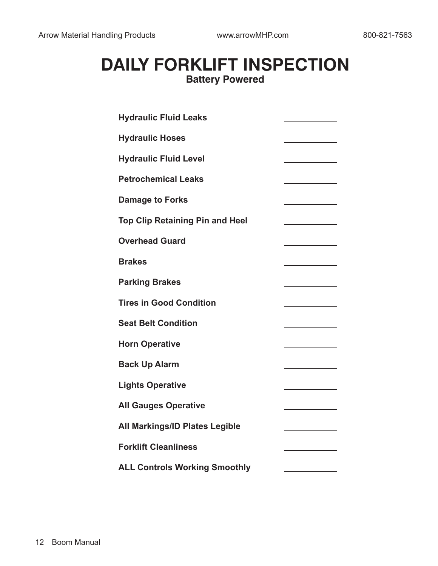## **DAILY FORKLIFT INSPECTION Battery Powered**

| <b>Hydraulic Fluid Leaks</b>           |  |  |  |  |
|----------------------------------------|--|--|--|--|
| <b>Hydraulic Hoses</b>                 |  |  |  |  |
| <b>Hydraulic Fluid Level</b>           |  |  |  |  |
| <b>Petrochemical Leaks</b>             |  |  |  |  |
| <b>Damage to Forks</b>                 |  |  |  |  |
| <b>Top Clip Retaining Pin and Heel</b> |  |  |  |  |
| <b>Overhead Guard</b>                  |  |  |  |  |
| <b>Brakes</b>                          |  |  |  |  |
| <b>Parking Brakes</b>                  |  |  |  |  |
| <b>Tires in Good Condition</b>         |  |  |  |  |
| <b>Seat Belt Condition</b>             |  |  |  |  |
| <b>Horn Operative</b>                  |  |  |  |  |
| <b>Back Up Alarm</b>                   |  |  |  |  |
| <b>Lights Operative</b>                |  |  |  |  |
| <b>All Gauges Operative</b>            |  |  |  |  |
| <b>All Markings/ID Plates Legible</b>  |  |  |  |  |
| <b>Forklift Cleanliness</b>            |  |  |  |  |
| <b>ALL Controls Working Smoothly</b>   |  |  |  |  |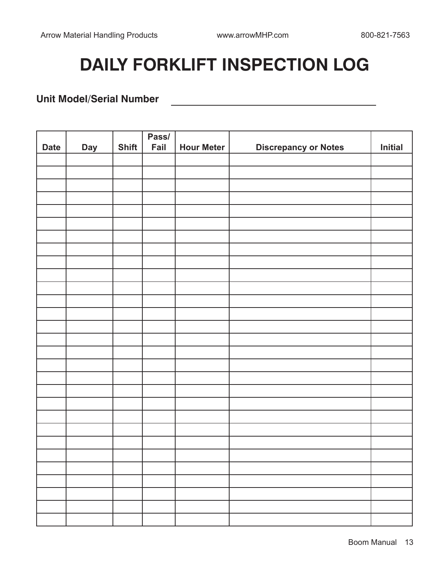<u>and the state of the state of the state of the state of the state of the state of the state of the state of the state of the state of the state of the state of the state of the state of the state of the state of the state</u>

# **DAILY FORKLIFT INSPECTION LOG**

#### **Unit Model/Serial Number**

|             |            |              | Pass/ |                   |                             |         |
|-------------|------------|--------------|-------|-------------------|-----------------------------|---------|
| <b>Date</b> | <b>Day</b> | <b>Shift</b> | Fail  | <b>Hour Meter</b> | <b>Discrepancy or Notes</b> | Initial |
|             |            |              |       |                   |                             |         |
|             |            |              |       |                   |                             |         |
|             |            |              |       |                   |                             |         |
|             |            |              |       |                   |                             |         |
|             |            |              |       |                   |                             |         |
|             |            |              |       |                   |                             |         |
|             |            |              |       |                   |                             |         |
|             |            |              |       |                   |                             |         |
|             |            |              |       |                   |                             |         |
|             |            |              |       |                   |                             |         |
|             |            |              |       |                   |                             |         |
|             |            |              |       |                   |                             |         |
|             |            |              |       |                   |                             |         |
|             |            |              |       |                   |                             |         |
|             |            |              |       |                   |                             |         |
|             |            |              |       |                   |                             |         |
|             |            |              |       |                   |                             |         |
|             |            |              |       |                   |                             |         |
|             |            |              |       |                   |                             |         |
|             |            |              |       |                   |                             |         |
|             |            |              |       |                   |                             |         |
|             |            |              |       |                   |                             |         |
|             |            |              |       |                   |                             |         |
|             |            |              |       |                   |                             |         |
|             |            |              |       |                   |                             |         |
|             |            |              |       |                   |                             |         |
|             |            |              |       |                   |                             |         |
|             |            |              |       |                   |                             |         |
|             |            |              |       |                   |                             |         |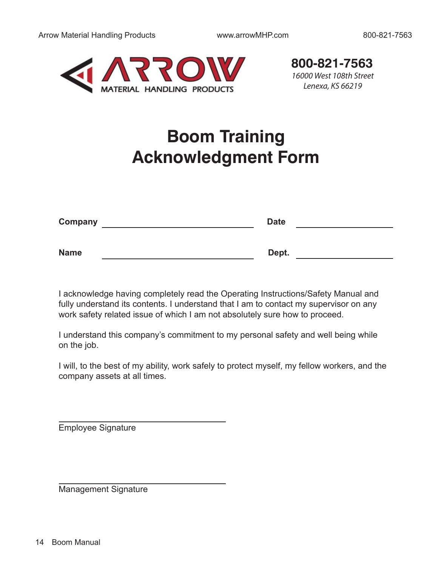

16000 West 108th Street Lenexa, KS 66219 **800-821-7563**

## **Boom Training Acknowledgment Form**

| Company     | <b>Date</b> |
|-------------|-------------|
|             |             |
| <b>Name</b> | Dept.       |

I acknowledge having completely read the Operating Instructions/Safety Manual and fully understand its contents. I understand that I am to contact my supervisor on any work safety related issue of which I am not absolutely sure how to proceed.

I understand this company's commitment to my personal safety and well being while on the job.

I will, to the best of my ability, work safely to protect myself, my fellow workers, and the company assets at all times.

Employee Signature

Management Signature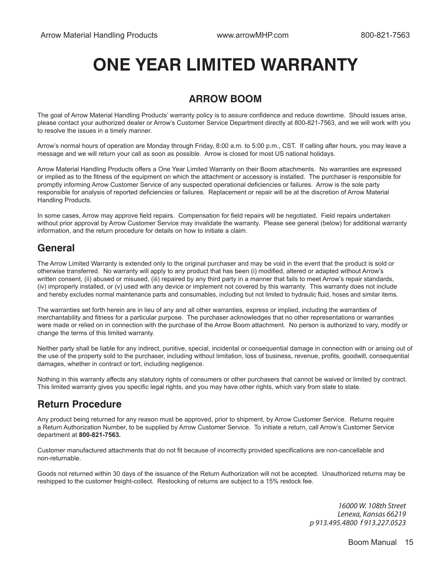## **ONE YEAR LIMITED WARRANTY**

### **ARROW BOOM**

The goal of Arrow Material Handling Products' warranty policy is to assure confidence and reduce downtime. Should issues arise, please contact your authorized dealer or Arrow's Customer Service Department directly at 800-821-7563, and we will work with you to resolve the issues in a timely manner.

Arrow's normal hours of operation are Monday through Friday, 8:00 a.m. to 5:00 p.m., CST. If calling after hours, you may leave a message and we will return your call as soon as possible. Arrow is closed for most US national holidays.

Arrow Material Handling Products offers a One Year Limited Warranty on their Boom attachments. No warranties are expressed or implied as to the fitness of the equipment on which the attachment or accessory is installed. The purchaser is responsible for promptly informing Arrow Customer Service of any suspected operational deficiencies or failures. Arrow is the sole party responsible for analysis of reported deficiencies or failures. Replacement or repair will be at the discretion of Arrow Material Handling Products.

In some cases, Arrow may approve field repairs. Compensation for field repairs will be negotiated. Field repairs undertaken without prior approval by Arrow Customer Service may invalidate the warranty. Please see general (below) for additional warranty information, and the return procedure for details on how to initiate a claim.

### **General**

The Arrow Limited Warranty is extended only to the original purchaser and may be void in the event that the product is sold or otherwise transferred. No warranty will apply to any product that has been (i) modified, altered or adapted without Arrow's written consent, (ii) abused or misused, (iii) repaired by any third party in a manner that fails to meet Arrow's repair standards, (iv) improperly installed, or (v) used with any device or implement not covered by this warranty. This warranty does not include and hereby excludes normal maintenance parts and consumables, including but not limited to hydraulic fluid, hoses and similar items.

The warranties set forth herein are in lieu of any and all other warranties, express or implied, including the warranties of merchantability and fitness for a particular purpose. The purchaser acknowledges that no other representations or warranties were made or relied on in connection with the purchase of the Arrow Boom attachment. No person is authorized to vary, modify or change the terms of this limited warranty.

Neither party shall be liable for any indirect, punitive, special, incidental or consequential damage in connection with or arising out of the use of the property sold to the purchaser, including without limitation, loss of business, revenue, profits, goodwill, consequential damages, whether in contract or tort, including negligence.

Nothing in this warranty affects any statutory rights of consumers or other purchasers that cannot be waived or limited by contract. This limited warranty gives you specific legal rights, and you may have other rights, which vary from state to state.

#### **Return Procedure**

Any product being returned for any reason must be approved, prior to shipment, by Arrow Customer Service. Returns require a Return Authorization Number, to be supplied by Arrow Customer Service. To initiate a return, call Arrow's Customer Service department at **800-821-7563.**

Customer manufactured attachments that do not fit because of incorrectly provided specifications are non-cancellable and non-returnable.

Goods not returned within 30 days of the issuance of the Return Authorization will not be accepted. Unauthorized returns may be reshipped to the customer freight-collect. Restocking of returns are subject to a 15% restock fee.

> 16000 W. 108th Street Lenexa, Kansas 66219 p 913.495.4800 f 913.227.0523